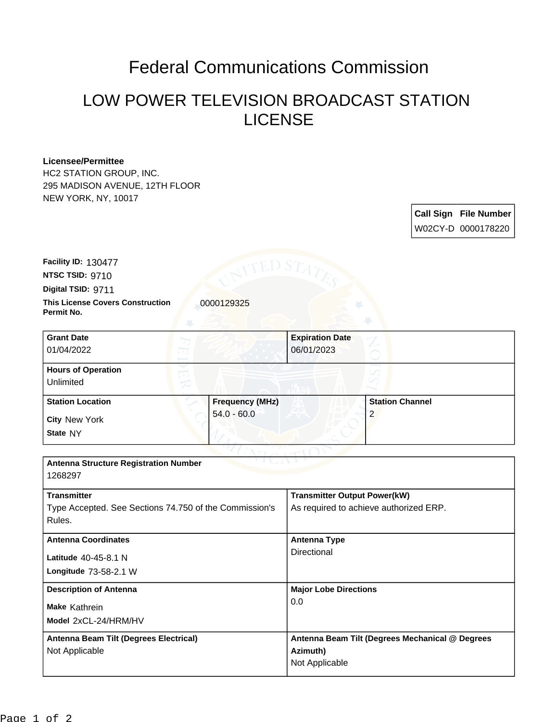## Federal Communications Commission

## LOW POWER TELEVISION BROADCAST STATION LICENSE

## **Licensee/Permittee**

HC2 STATION GROUP, INC. 295 MADISON AVENUE, 12TH FLOOR NEW YORK, NY, 10017

> **Call Sign File Number** W02CY-D 0000178220

**This License Covers Construction 10000129325 Digital TSID:** 9711 **NTSC TSID:** 9710 **Facility ID:** 130477

**Permit No.**

| <b>Grant Date</b><br>01/04/2022        |                        | <b>Expiration Date</b><br>06/01/2023 |                        |  |
|----------------------------------------|------------------------|--------------------------------------|------------------------|--|
| <b>Hours of Operation</b><br>Unlimited |                        |                                      |                        |  |
| <b>Station Location</b>                | <b>Frequency (MHz)</b> |                                      | <b>Station Channel</b> |  |
| <b>City New York</b><br>State NY       | $54.0 - 60.0$          |                                      | $\overline{2}$         |  |

| <b>Transmitter Output Power(kW)</b>             |  |
|-------------------------------------------------|--|
| As required to achieve authorized ERP.          |  |
|                                                 |  |
| Antenna Type                                    |  |
| Directional                                     |  |
|                                                 |  |
| <b>Major Lobe Directions</b>                    |  |
| 0.0                                             |  |
|                                                 |  |
| Antenna Beam Tilt (Degrees Mechanical @ Degrees |  |
| Azimuth)                                        |  |
| Not Applicable                                  |  |
|                                                 |  |